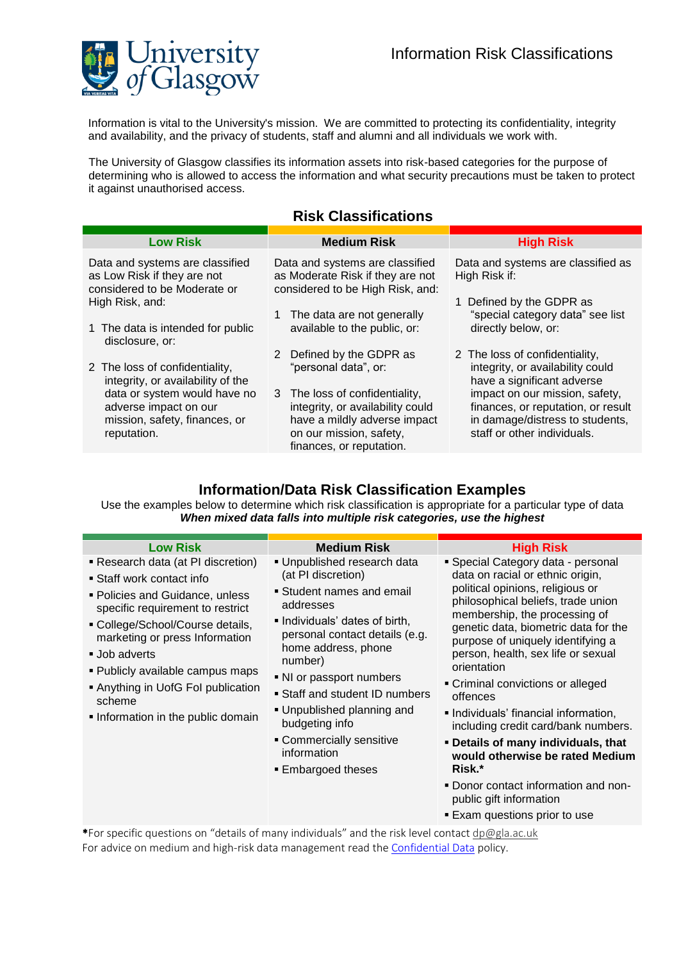

Information is vital to the University's mission. We are committed to protecting its confidentiality, integrity and availability, and the privacy of students, staff and alumni and all individuals we work with.

The University of Glasgow classifies its information assets into risk-based categories for the purpose of determining who is allowed to access the information and what security precautions must be taken to protect it against unauthorised access.

## **Risk Classifications**

| <b>Low Risk</b>                                                                                | <b>Medium Risk</b>                                                                                      | <b>High Risk</b>                                                     |
|------------------------------------------------------------------------------------------------|---------------------------------------------------------------------------------------------------------|----------------------------------------------------------------------|
| Data and systems are classified<br>as Low Risk if they are not<br>considered to be Moderate or | Data and systems are classified<br>as Moderate Risk if they are not<br>considered to be High Risk, and: | Data and systems are classified as<br>High Risk if:                  |
| High Risk, and:                                                                                |                                                                                                         | Defined by the GDPR as                                               |
|                                                                                                | 1 The data are not generally                                                                            | "special category data" see list                                     |
| 1 The data is intended for public<br>disclosure, or:                                           | available to the public, or:                                                                            | directly below, or:                                                  |
|                                                                                                | 2 Defined by the GDPR as                                                                                | 2 The loss of confidentiality,                                       |
| 2 The loss of confidentiality,<br>integrity, or availability of the                            | "personal data", or:                                                                                    | integrity, or availability could<br>have a significant adverse       |
| data or system would have no<br>adverse impact on our                                          | 3 The loss of confidentiality,<br>integrity, or availability could                                      | impact on our mission, safety,<br>finances, or reputation, or result |
| mission, safety, finances, or<br>reputation.                                                   | have a mildly adverse impact<br>on our mission, safety,                                                 | in damage/distress to students,<br>staff or other individuals.       |
|                                                                                                | finances, or reputation.                                                                                |                                                                      |

## **Information/Data Risk Classification Examples**

Use the examples below to determine which risk classification is appropriate for a particular type of data *When mixed data falls into multiple risk categories, use the highest* 

| <b>Low Risk</b><br>• Research data (at PI discretion)<br>■ Staff work contact info<br>• Policies and Guidance, unless<br>specific requirement to restrict<br>• College/School/Course details,<br>marketing or press Information<br>■ Job adverts<br>• Publicly available campus maps<br>Anything in UofG Fol publication | <b>Medium Risk</b><br>• Unpublished research data<br>(at PI discretion)<br>• Student names and email<br>addresses<br>. Individuals' dates of birth,<br>personal contact details (e.g.<br>home address, phone<br>number)<br>• NI or passport numbers<br>• Staff and student ID numbers<br>. Unpublished planning and<br>budgeting info<br>• Commercially sensitive<br>information<br>■ Embargoed theses | <b>High Risk</b><br>• Special Category data - personal<br>data on racial or ethnic origin,<br>political opinions, religious or<br>philosophical beliefs, trade union<br>membership, the processing of<br>genetic data, biometric data for the<br>purpose of uniquely identifying a<br>person, health, sex life or sexual<br>orientation<br>• Criminal convictions or alleged |
|--------------------------------------------------------------------------------------------------------------------------------------------------------------------------------------------------------------------------------------------------------------------------------------------------------------------------|--------------------------------------------------------------------------------------------------------------------------------------------------------------------------------------------------------------------------------------------------------------------------------------------------------------------------------------------------------------------------------------------------------|------------------------------------------------------------------------------------------------------------------------------------------------------------------------------------------------------------------------------------------------------------------------------------------------------------------------------------------------------------------------------|
| scheme<br>. Information in the public domain                                                                                                                                                                                                                                                                             |                                                                                                                                                                                                                                                                                                                                                                                                        | offences<br>lndividuals' financial information,<br>including credit card/bank numbers.<br>. Details of many individuals, that<br>would otherwise be rated Medium<br>Risk.*<br>. Donor contact information and non-<br>public gift information<br>■ Exam questions prior to use                                                                                               |

\*For specific questions on "details of many individuals" and the risk level contact [dp@gla.ac.uk](mailto:dp@gla.ac.uk?subject=Medium/high%20risk%20question) For advice on medium and high-risk data management read th[e Confidential Data](https://www.gla.ac.uk/myglasgow/it/informationsecurity/confidentialdata/) policy.